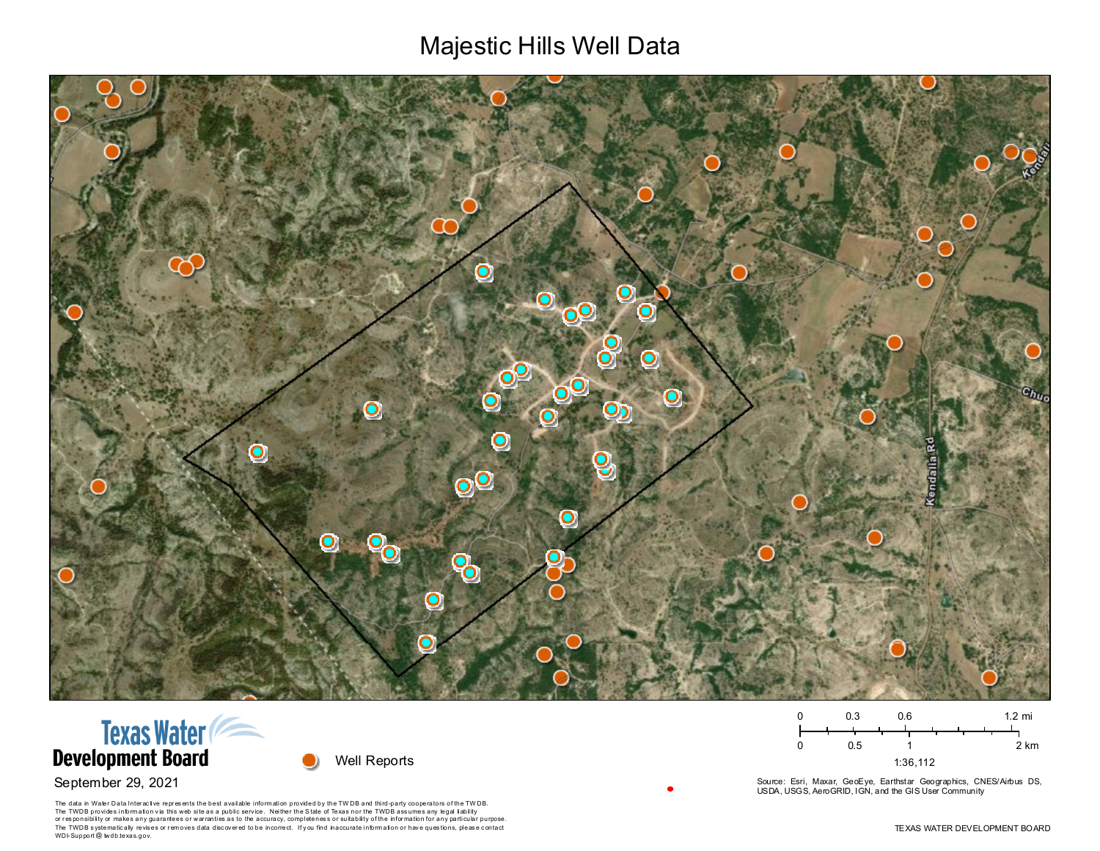## Majestic Hills Well Data







The data in Water Data Interactive represents the best available information provided by the TWDB and third-party cooperators of the TWDB. The TWDB provides information via this website as a public service. Neither the State of Texas nor the TWDB assumes any legal liability or responsibility or makes any guarantees or warranties as to the accuracy, completeness or suitability of the information for any particular purpose. The TWDB systematically revises or removes data discovered to be incorrect. If you find inaccurate information or have questions, please contact WDI-Support @ twdb.texas.gov.

 $0.3$  $0.6$  $1.2 \text{ mi}$  $\Omega$  $0.5$  $\mathbf 0$  $\overline{1}$ 2 km 1:36,112

Source: Esri, Maxar, GeoEye, Earthstar Geographics, CNES/Airbus DS, USDA, USGS, AeroGRID, IGN, and the GIS User Community